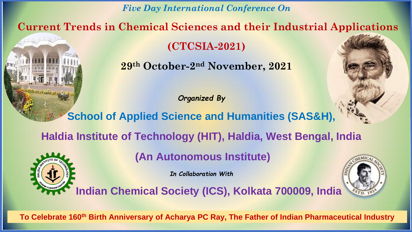*Five Day International Conference On*

**Current Trends in Chemical Sciences and their Industrial Applications** 

**(CTCSIA-2021)**

**29th October-2 nd November, 2021**

*Organized By*

**School of Applied Science and Humanities (SAS&H),**

**Haldia Institute of Technology (HIT), Haldia, West Bengal, India**

**(An Autonomous Institute)**

*In Collaboration With*



 **Indian Chemical Society (ICS), Kolkata 700009, India**

**To Celebrate 160th Birth Anniversary of Acharya PC Ray, The Father of Indian Pharmaceutical Industry**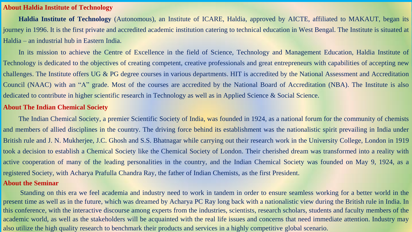## **About Haldia Institute of Technology**

**Haldia Institute of Technology** (Autonomous), an Institute of ICARE, Haldia, approved by AICTE, affiliated to MAKAUT, began its journey in 1996. It is the first private and accredited academic institution catering to technical education in West Bengal. The Institute is situated at Haldia – an industrial hub in Eastern India.

In its mission to achieve the Centre of Excellence in the field of Science, Technology and Management Education, Haldia Institute of Technology is dedicated to the objectives of creating competent, creative professionals and great entrepreneurs with capabilities of accepting new challenges. The Institute offers UG & PG degree courses in various departments. HIT is accredited by the National Assessment and Accreditation Council (NAAC) with an "A" grade. Most of the courses are accredited by the National Board of Accreditation (NBA). The Institute is also dedicated to contribute in higher scientific research in Technology as well as in Applied Science & Social Science.

## **About The Indian Chemical Society**

The Indian Chemical Society, a premier Scientific Society of India, was founded in 1924, as a national forum for the community of chemists and members of allied disciplines in the country. The driving force behind its establishment was the nationalistic spirit prevailing in India under British rule and J. N. Mukherjee, J.C. Ghosh and S.S. Bhatnagar while carrying out their research work in the University College, London in 1919 took a decision to establish a Chemical Society like the Chemical Society of London. Their cherished dream was transformed into a reality with active cooperation of many of the leading personalities in the country, and the Indian Chemical Society was founded on May 9, 1924, as a registered Society, with Acharya Prafulla Chandra Ray, the father of Indian Chemists, as the first President. **About the Seminar**

Standing on this era we feel academia and industry need to work in tandem in order to ensure seamless working for a better world in the present time as well as in the future, which was dreamed by Acharya PC Ray long back with a nationalistic view during the British rule in India. In this conference, with the interactive discourse among experts from the industries, scientists, research scholars, students and faculty members of the academic world, as well as the stakeholders will be acquainted with the real life issues and concerns that need immediate attention. Industry may also utilize the high quality research to benchmark their products and services in a highly competitive global scenario.